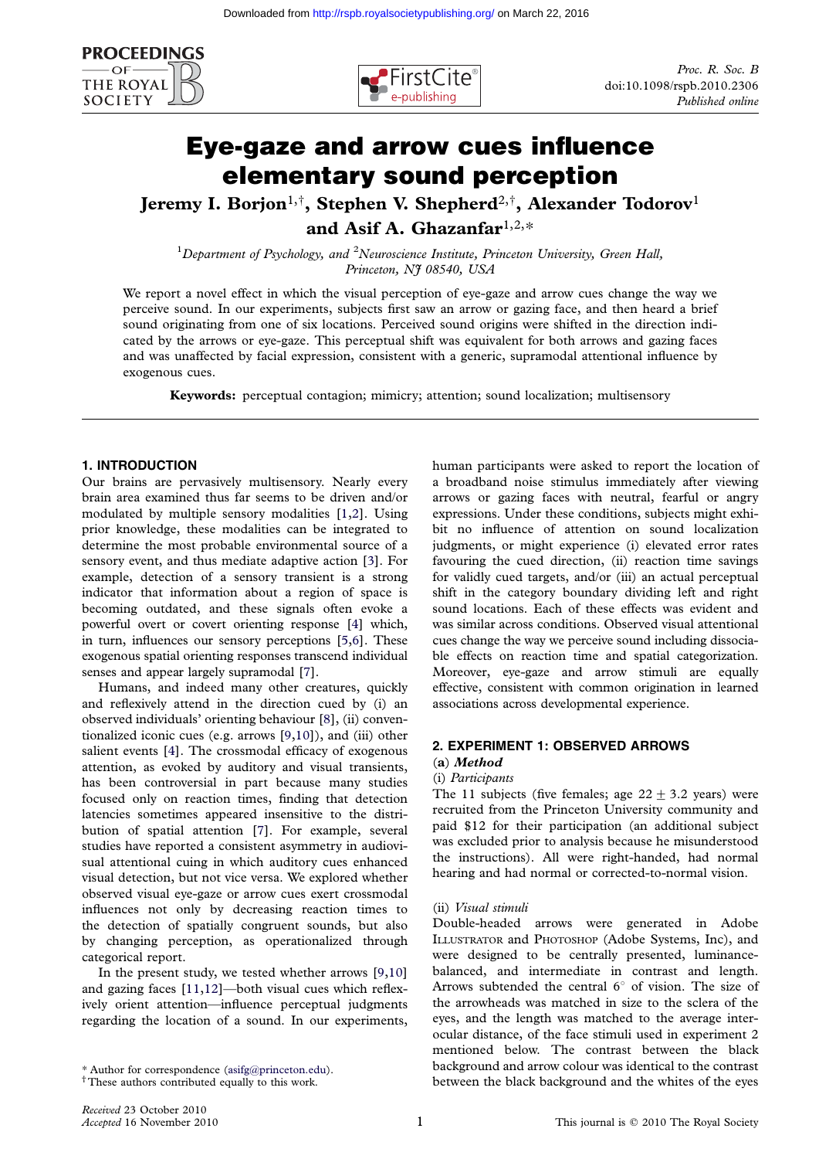



Proc. R. Soc. B doi:10.1098/rspb.2010.2306 Published online

# Eye-gaze and arrow cues influence elementary sound perception

Jeremy I. Borjon<sup>1,†</sup>, Stephen V. Shepherd<sup>2,†</sup>, Alexander Todorov<sup>1</sup> and Asif A. Ghazanfar<sup>1,2,\*</sup>

<sup>1</sup>Department of Psychology, and <sup>2</sup>Neuroscience Institute, Princeton University, Green Hall, Princeton, NJ 08540, USA

We report a novel effect in which the visual perception of eye-gaze and arrow cues change the way we perceive sound. In our experiments, subjects first saw an arrow or gazing face, and then heard a brief sound originating from one of six locations. Perceived sound origins were shifted in the direction indicated by the arrows or eye-gaze. This perceptual shift was equivalent for both arrows and gazing faces and was unaffected by facial expression, consistent with a generic, supramodal attentional influence by exogenous cues.

Keywords: perceptual contagion; mimicry; attention; sound localization; multisensory

# 1. INTRODUCTION

Our brains are pervasively multisensory. Nearly every brain area examined thus far seems to be driven and/or modulated by multiple sensory modalities [[1](#page-6-0),[2](#page-6-0)]. Using prior knowledge, these modalities can be integrated to determine the most probable environmental source of a sensory event, and thus mediate adaptive action [\[3](#page-6-0)]. For example, detection of a sensory transient is a strong indicator that information about a region of space is becoming outdated, and these signals often evoke a powerful overt or covert orienting response [[4\]](#page-6-0) which, in turn, influences our sensory perceptions [\[5,6](#page-6-0)]. These exogenous spatial orienting responses transcend individual senses and appear largely supramodal [[7\]](#page-6-0).

Humans, and indeed many other creatures, quickly and reflexively attend in the direction cued by (i) an observed individuals' orienting behaviour [\[8](#page-7-0)], (ii) conventionalized iconic cues (e.g. arrows [[9](#page-7-0),[10](#page-7-0)]), and (iii) other salient events [\[4](#page-6-0)]. The crossmodal efficacy of exogenous attention, as evoked by auditory and visual transients, has been controversial in part because many studies focused only on reaction times, finding that detection latencies sometimes appeared insensitive to the distribution of spatial attention [[7](#page-6-0)]. For example, several studies have reported a consistent asymmetry in audiovisual attentional cuing in which auditory cues enhanced visual detection, but not vice versa. We explored whether observed visual eye-gaze or arrow cues exert crossmodal influences not only by decreasing reaction times to the detection of spatially congruent sounds, but also by changing perception, as operationalized through categorical report.

In the present study, we tested whether arrows [\[9,10\]](#page-7-0) and gazing faces [\[11,12\]](#page-7-0)—both visual cues which reflexively orient attention—influence perceptual judgments regarding the location of a sound. In our experiments, human participants were asked to report the location of a broadband noise stimulus immediately after viewing arrows or gazing faces with neutral, fearful or angry expressions. Under these conditions, subjects might exhibit no influence of attention on sound localization judgments, or might experience (i) elevated error rates favouring the cued direction, (ii) reaction time savings for validly cued targets, and/or (iii) an actual perceptual shift in the category boundary dividing left and right sound locations. Each of these effects was evident and was similar across conditions. Observed visual attentional cues change the way we perceive sound including dissociable effects on reaction time and spatial categorization. Moreover, eve-gaze and arrow stimuli are equally effective, consistent with common origination in learned associations across developmental experience.

# 2. EXPERIMENT 1: OBSERVED ARROWS

### (a) Method

#### (i) Participants

The 11 subjects (five females; age  $22 + 3.2$  years) were recruited from the Princeton University community and paid \$12 for their participation (an additional subject was excluded prior to analysis because he misunderstood the instructions). All were right-handed, had normal hearing and had normal or corrected-to-normal vision.

#### (ii) Visual stimuli

Double-headed arrows were generated in Adobe ILLUSTRATOR and PHOTOSHOP (Adobe Systems, Inc), and were designed to be centrally presented, luminancebalanced, and intermediate in contrast and length. Arrows subtended the central  $6^\circ$  of vision. The size of the arrowheads was matched in size to the sclera of the eyes, and the length was matched to the average interocular distance, of the face stimuli used in experiment 2 mentioned below. The contrast between the black background and arrow colour was identical to the contrast Author for correspondence ([asifg@princeton.edu](mailto:asifg@princeton.edu)). background and arrow colour was identical to the contrast<br>
<sup>†</sup>These authors contributed equally to this work. between the black background and the whites of the eyes

<sup>&</sup>lt;sup>†</sup>These authors contributed equally to this work.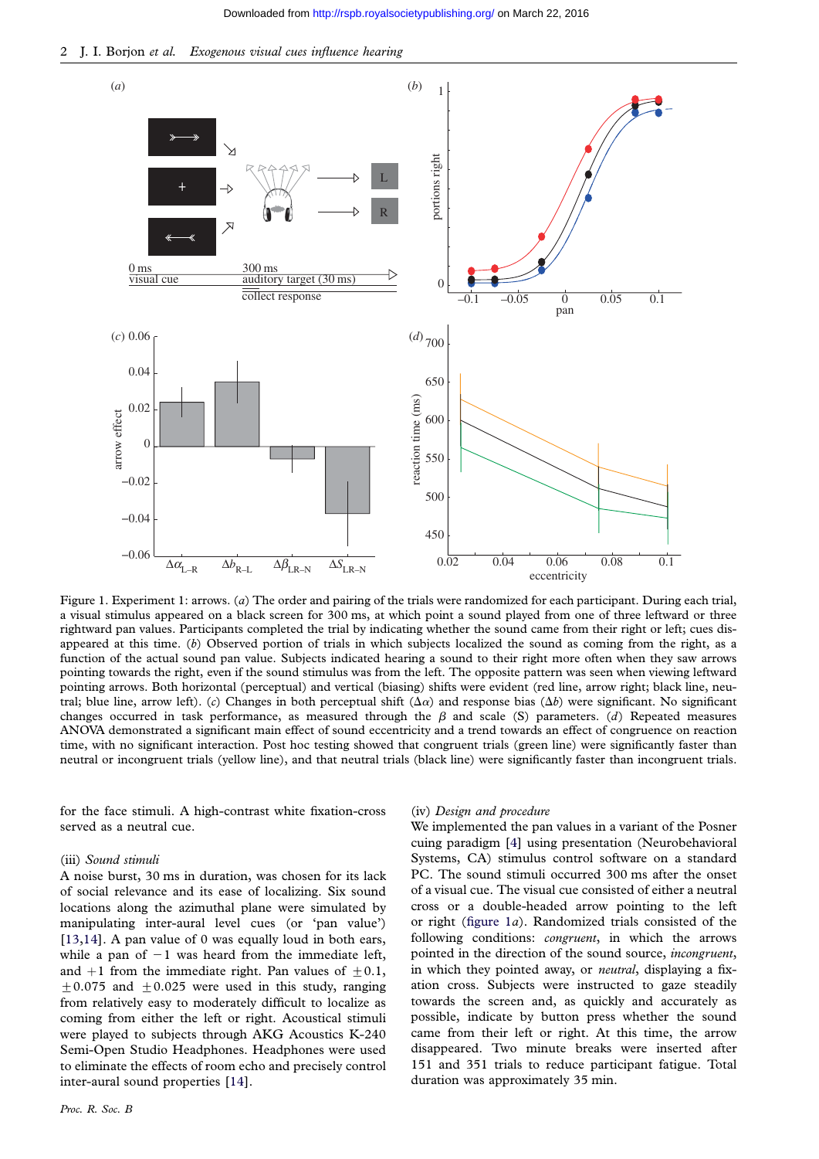<span id="page-1-0"></span>



Figure 1. Experiment 1: arrows. (a) The order and pairing of the trials were randomized for each participant. During each trial, a visual stimulus appeared on a black screen for 300 ms, at which point a sound played from one of three leftward or three rightward pan values. Participants completed the trial by indicating whether the sound came from their right or left; cues disappeared at this time. (b) Observed portion of trials in which subjects localized the sound as coming from the right, as a function of the actual sound pan value. Subjects indicated hearing a sound to their right more often when they saw arrows pointing towards the right, even if the sound stimulus was from the left. The opposite pattern was seen when viewing leftward pointing arrows. Both horizontal (perceptual) and vertical (biasing) shifts were evident (red line, arrow right; black line, neutral; blue line, arrow left). (c) Changes in both perceptual shift  $(\Delta \alpha)$  and response bias  $(\Delta b)$  were significant. No significant changes occurred in task performance, as measured through the  $\beta$  and scale (S) parameters. (d) Repeated measures ANOVA demonstrated a significant main effect of sound eccentricity and a trend towards an effect of congruence on reaction time, with no significant interaction. Post hoc testing showed that congruent trials (green line) were significantly faster than neutral or incongruent trials (yellow line), and that neutral trials (black line) were significantly faster than incongruent trials.

for the face stimuli. A high-contrast white fixation-cross served as a neutral cue.

#### (iii) Sound stimuli

A noise burst, 30 ms in duration, was chosen for its lack of social relevance and its ease of localizing. Six sound locations along the azimuthal plane were simulated by manipulating inter-aural level cues (or 'pan value') [\[13,14](#page-7-0)]. A pan value of 0 was equally loud in both ears, while a pan of  $-1$  was heard from the immediate left, and  $+1$  from the immediate right. Pan values of  $\pm 0.1$ ,  $\pm 0.075$  and  $\pm 0.025$  were used in this study, ranging from relatively easy to moderately difficult to localize as coming from either the left or right. Acoustical stimuli were played to subjects through AKG Acoustics K-240 Semi-Open Studio Headphones. Headphones were used to eliminate the effects of room echo and precisely control inter-aural sound properties [\[14\]](#page-7-0).

#### (iv) Design and procedure

We implemented the pan values in a variant of the Posner cuing paradigm [[4](#page-6-0)] using presentation (Neurobehavioral Systems, CA) stimulus control software on a standard PC. The sound stimuli occurred 300 ms after the onset of a visual cue. The visual cue consisted of either a neutral cross or a double-headed arrow pointing to the left or right (figure 1a). Randomized trials consisted of the following conditions: *congruent*, in which the arrows pointed in the direction of the sound source, incongruent, in which they pointed away, or neutral, displaying a fixation cross. Subjects were instructed to gaze steadily towards the screen and, as quickly and accurately as possible, indicate by button press whether the sound came from their left or right. At this time, the arrow disappeared. Two minute breaks were inserted after 151 and 351 trials to reduce participant fatigue. Total duration was approximately 35 min.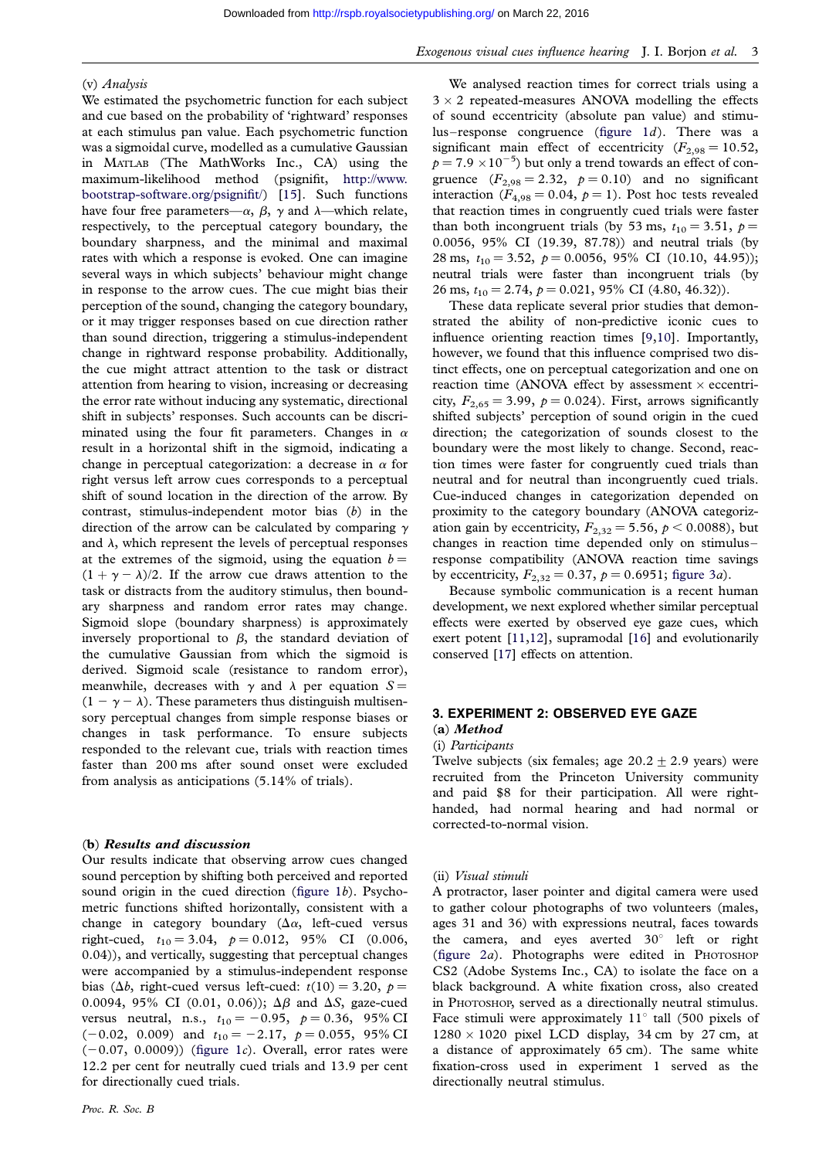### (v) Analysis

We estimated the psychometric function for each subject and cue based on the probability of 'rightward' responses at each stimulus pan value. Each psychometric function was a sigmoidal curve, modelled as a cumulative Gaussian in MATLAB (The MathWorks Inc., CA) using the maximum-likelihood method (psignifit, [http://www.](http://www.bootstrap-software.org/psignifit/) [bootstrap-software.org/psignifit/](http://www.bootstrap-software.org/psignifit/)) [[15](#page-7-0)]. Such functions have four free parameters— $\alpha$ ,  $\beta$ ,  $\gamma$  and  $\lambda$ —which relate, respectively, to the perceptual category boundary, the boundary sharpness, and the minimal and maximal rates with which a response is evoked. One can imagine several ways in which subjects' behaviour might change in response to the arrow cues. The cue might bias their perception of the sound, changing the category boundary, or it may trigger responses based on cue direction rather than sound direction, triggering a stimulus-independent change in rightward response probability. Additionally, the cue might attract attention to the task or distract attention from hearing to vision, increasing or decreasing the error rate without inducing any systematic, directional shift in subjects' responses. Such accounts can be discriminated using the four fit parameters. Changes in  $\alpha$ result in a horizontal shift in the sigmoid, indicating a change in perceptual categorization: a decrease in  $\alpha$  for right versus left arrow cues corresponds to a perceptual shift of sound location in the direction of the arrow. By contrast, stimulus-independent motor bias (b) in the direction of the arrow can be calculated by comparing  $\gamma$ and  $\lambda$ , which represent the levels of perceptual responses at the extremes of the sigmoid, using the equation  $b =$  $(1 + \gamma - \lambda)/2$ . If the arrow cue draws attention to the task or distracts from the auditory stimulus, then boundary sharpness and random error rates may change. Sigmoid slope (boundary sharpness) is approximately inversely proportional to  $\beta$ , the standard deviation of the cumulative Gaussian from which the sigmoid is derived. Sigmoid scale (resistance to random error), meanwhile, decreases with  $\gamma$  and  $\lambda$  per equation  $S =$  $(1 - \gamma - \lambda)$ . These parameters thus distinguish multisensory perceptual changes from simple response biases or changes in task performance. To ensure subjects responded to the relevant cue, trials with reaction times faster than 200 ms after sound onset were excluded from analysis as anticipations (5.14% of trials).

#### (b) Results and discussion

Our results indicate that observing arrow cues changed sound perception by shifting both perceived and reported sound origin in the cued direction [\(figure 1](#page-1-0)b). Psychometric functions shifted horizontally, consistent with a change in category boundary ( $\Delta \alpha$ , left-cued versus right-cued,  $t_{10} = 3.04$ ,  $p = 0.012$ , 95% CI (0.006, 0.04)), and vertically, suggesting that perceptual changes were accompanied by a stimulus-independent response bias ( $\Delta b$ , right-cued versus left-cued:  $t(10) = 3.20$ ,  $p =$ 0.0094, 95% CI (0.01, 0.06));  $\Delta\beta$  and  $\Delta S$ , gaze-cued versus neutral, n.s.,  $t_{10} = -0.95$ ,  $p = 0.36$ , 95% CI  $(-0.02, 0.009)$  and  $t_{10} = -2.17, p = 0.055, 95\%$  CI  $(-0.07, 0.0009)$  [\(figure 1](#page-1-0)c). Overall, error rates were 12.2 per cent for neutrally cued trials and 13.9 per cent for directionally cued trials.

We analysed reaction times for correct trials using a  $3 \times 2$  repeated-measures ANOVA modelling the effects of sound eccentricity (absolute pan value) and stimulus-response congruence (figure  $1d$ ). There was a significant main effect of eccentricity  $(F_{2,98} = 10.52,$  $p = 7.9 \times 10^{-5}$ ) but only a trend towards an effect of congruence  $(F_{2,98} = 2.32, p = 0.10)$  and no significant interaction ( $F_{4,98} = 0.04$ ,  $p = 1$ ). Post hoc tests revealed that reaction times in congruently cued trials were faster than both incongruent trials (by 53 ms,  $t_{10} = 3.51$ ,  $p =$ 0.0056, 95% CI (19.39, 87.78)) and neutral trials (by 28 ms,  $t_{10} = 3.52$ ,  $p = 0.0056$ , 95% CI (10.10, 44.95)); neutral trials were faster than incongruent trials (by 26 ms,  $t_{10} = 2.74$ ,  $p = 0.021$ , 95% CI (4.80, 46.32)).

These data replicate several prior studies that demonstrated the ability of non-predictive iconic cues to influence orienting reaction times [\[9,10](#page-7-0)]. Importantly, however, we found that this influence comprised two distinct effects, one on perceptual categorization and one on reaction time (ANOVA effect by assessment  $\times$  eccentricity,  $F_{2,65} = 3.99$ ,  $p = 0.024$ ). First, arrows significantly shifted subjects' perception of sound origin in the cued direction; the categorization of sounds closest to the boundary were the most likely to change. Second, reaction times were faster for congruently cued trials than neutral and for neutral than incongruently cued trials. Cue-induced changes in categorization depended on proximity to the category boundary (ANOVA categorization gain by eccentricity,  $F_{2,32} = 5.56$ ,  $p < 0.0088$ ), but changes in reaction time depended only on stimulus – response compatibility (ANOVA reaction time savings by eccentricity,  $F_{2,32} = 0.37$ ,  $p = 0.6951$ ; [figure 3](#page-4-0)*a*).

Because symbolic communication is a recent human development, we next explored whether similar perceptual effects were exerted by observed eye gaze cues, which exert potent [[11](#page-7-0),[12](#page-7-0)], supramodal [\[16](#page-7-0)] and evolutionarily conserved [[17](#page-7-0)] effects on attention.

### 3. EXPERIMENT 2: OBSERVED EYE GAZE (a) Method

# (i) Participants

Twelve subjects (six females; age  $20.2 + 2.9$  years) were recruited from the Princeton University community and paid \$8 for their participation. All were righthanded, had normal hearing and had normal or corrected-to-normal vision.

#### (ii) Visual stimuli

A protractor, laser pointer and digital camera were used to gather colour photographs of two volunteers (males, ages 31 and 36) with expressions neutral, faces towards the camera, and eyes averted  $30^\circ$  left or right (figure  $2a$ ). Photographs were edited in PHOTOSHOP CS2 (Adobe Systems Inc., CA) to isolate the face on a black background. A white fixation cross, also created in PHOTOSHOP, served as a directionally neutral stimulus. Face stimuli were approximately  $11^{\circ}$  tall (500 pixels of  $1280 \times 1020$  pixel LCD display, 34 cm by 27 cm, at a distance of approximately 65 cm). The same white fixation-cross used in experiment 1 served as the directionally neutral stimulus.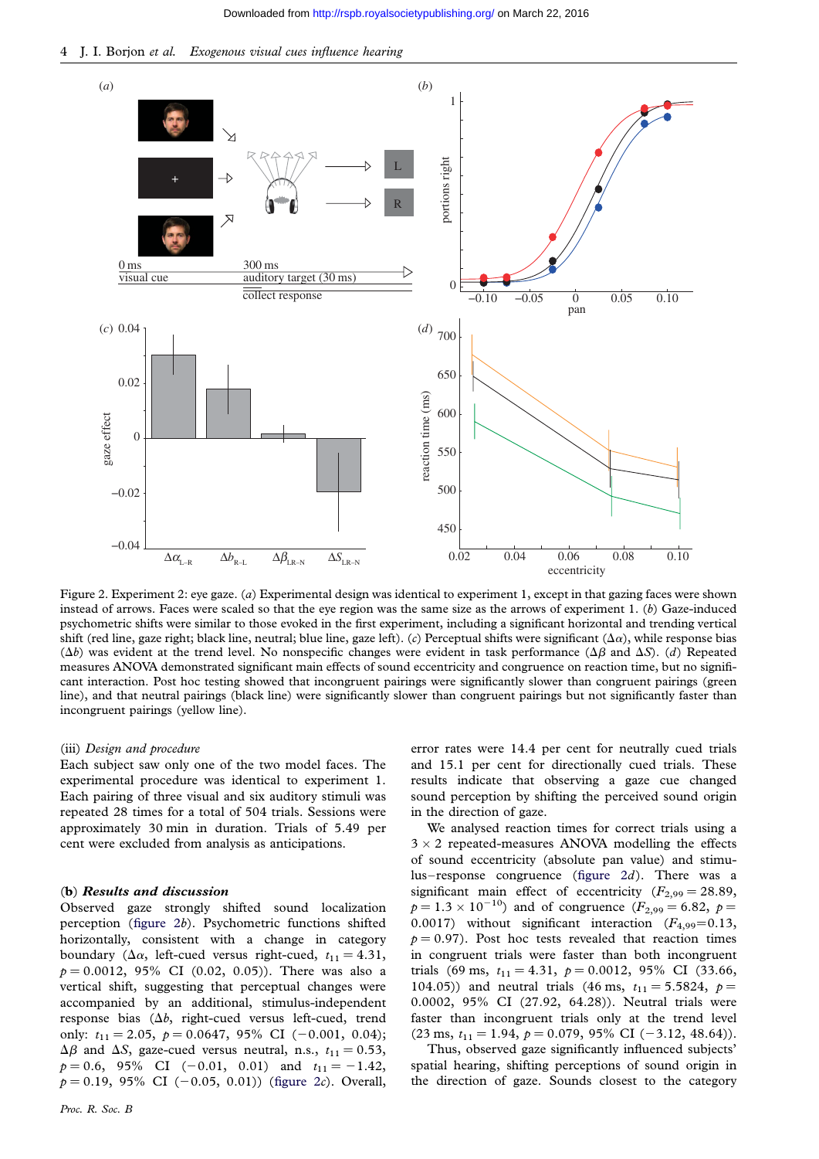<span id="page-3-0"></span>



Figure 2. Experiment 2: eye gaze. (a) Experimental design was identical to experiment 1, except in that gazing faces were shown instead of arrows. Faces were scaled so that the eye region was the same size as the arrows of experiment  $1. (b)$  Gaze-induced psychometric shifts were similar to those evoked in the first experiment, including a significant horizontal and trending vertical shift (red line, gaze right; black line, neutral; blue line, gaze left). (c) Perceptual shifts were significant  $(\Delta \alpha)$ , while response bias ( $\Delta b$ ) was evident at the trend level. No nonspecific changes were evident in task performance ( $\Delta \beta$  and  $\Delta S$ ). (d) Repeated measures ANOVA demonstrated significant main effects of sound eccentricity and congruence on reaction time, but no significant interaction. Post hoc testing showed that incongruent pairings were significantly slower than congruent pairings (green line), and that neutral pairings (black line) were significantly slower than congruent pairings but not significantly faster than incongruent pairings (yellow line).

#### (iii) Design and procedure

Each subject saw only one of the two model faces. The experimental procedure was identical to experiment 1. Each pairing of three visual and six auditory stimuli was repeated 28 times for a total of 504 trials. Sessions were approximately 30 min in duration. Trials of 5.49 per cent were excluded from analysis as anticipations.

#### (b) Results and discussion

Observed gaze strongly shifted sound localization perception (figure 2b). Psychometric functions shifted horizontally, consistent with a change in category boundary ( $\Delta \alpha$ , left-cued versus right-cued,  $t_{11} = 4.31$ ,  $p = 0.0012$ , 95% CI (0.02, 0.05)). There was also a vertical shift, suggesting that perceptual changes were accompanied by an additional, stimulus-independent response bias  $(\Delta b,$  right-cued versus left-cued, trend only:  $t_{11} = 2.05$ ,  $p = 0.0647$ , 95% CI (-0.001, 0.04);  $\Delta\beta$  and  $\Delta S$ , gaze-cued versus neutral, n.s.,  $t_{11} = 0.53$ ,  $p = 0.6$ , 95% CI (-0.01, 0.01) and  $t_{11} = -1.42$ ,  $p = 0.19$ , 95% CI (-0.05, 0.01)) (figure 2c). Overall,

error rates were 14.4 per cent for neutrally cued trials and 15.1 per cent for directionally cued trials. These results indicate that observing a gaze cue changed sound perception by shifting the perceived sound origin in the direction of gaze.

We analysed reaction times for correct trials using a  $3 \times 2$  repeated-measures ANOVA modelling the effects of sound eccentricity (absolute pan value) and stimulus– response congruence (figure 2d). There was a significant main effect of eccentricity  $(F_{2,99} = 28.89,$  $p = 1.3 \times 10^{-10}$  and of congruence  $(F_{2,99} = 6.82, p =$ 0.0017) without significant interaction  $(F_{4,99}=0.13,$  $p = 0.97$ ). Post hoc tests revealed that reaction times in congruent trials were faster than both incongruent trials (69 ms,  $t_{11} = 4.31$ ,  $p = 0.0012$ , 95% CI (33.66, 104.05)) and neutral trials (46 ms,  $t_{11} = 5.5824$ ,  $p =$ 0.0002, 95% CI (27.92, 64.28)). Neutral trials were faster than incongruent trials only at the trend level  $(23 \text{ ms}, t_{11} = 1.94, p = 0.079, 95\% \text{ CI } (-3.12, 48.64)).$ 

Thus, observed gaze significantly influenced subjects' spatial hearing, shifting perceptions of sound origin in the direction of gaze. Sounds closest to the category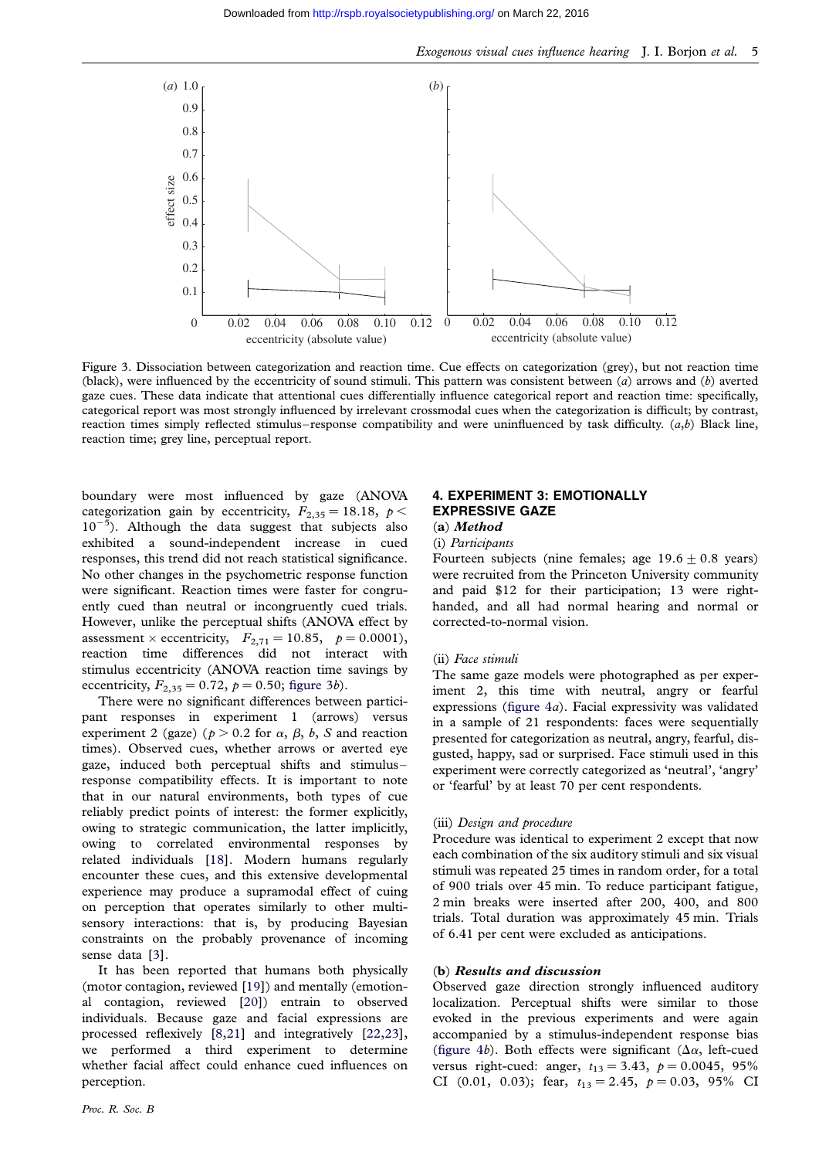<span id="page-4-0"></span>

Figure 3. Dissociation between categorization and reaction time. Cue effects on categorization (grey), but not reaction time (black), were influenced by the eccentricity of sound stimuli. This pattern was consistent between  $(a)$  arrows and  $(b)$  averted gaze cues. These data indicate that attentional cues differentially influence categorical report and reaction time: specifically, categorical report was most strongly influenced by irrelevant crossmodal cues when the categorization is difficult; by contrast, reaction times simply reflected stimulus–response compatibility and were uninfluenced by task difficulty.  $(a,b)$  Black line, reaction time; grey line, perceptual report.

boundary were most influenced by gaze (ANOVA categorization gain by eccentricity,  $F_{2,35} = 18.18$ ,  $p <$  $10^{-5}$ ). Although the data suggest that subjects also exhibited a sound-independent increase in cued responses, this trend did not reach statistical significance. No other changes in the psychometric response function were significant. Reaction times were faster for congruently cued than neutral or incongruently cued trials. However, unlike the perceptual shifts (ANOVA effect by assessment  $\times$  eccentricity,  $F_{2,71} = 10.85$ ,  $p = 0.0001$ ), reaction time differences did not interact with stimulus eccentricity (ANOVA reaction time savings by eccentricity,  $F_{2,35} = 0.72$ ,  $p = 0.50$ ; figure 3b).

There were no significant differences between participant responses in experiment 1 (arrows) versus experiment 2 (gaze) ( $p > 0.2$  for  $\alpha$ ,  $\beta$ ,  $b$ ,  $S$  and reaction times). Observed cues, whether arrows or averted eye gaze, induced both perceptual shifts and stimulus – response compatibility effects. It is important to note that in our natural environments, both types of cue reliably predict points of interest: the former explicitly, owing to strategic communication, the latter implicitly, owing to correlated environmental responses by related individuals [[18\]](#page-7-0). Modern humans regularly encounter these cues, and this extensive developmental experience may produce a supramodal effect of cuing on perception that operates similarly to other multisensory interactions: that is, by producing Bayesian constraints on the probably provenance of incoming sense data [[3](#page-6-0)].

It has been reported that humans both physically (motor contagion, reviewed [\[19\]](#page-7-0)) and mentally (emotional contagion, reviewed [\[20\]](#page-7-0)) entrain to observed individuals. Because gaze and facial expressions are processed reflexively [[8,21](#page-7-0)] and integratively [\[22,23](#page-7-0)], we performed a third experiment to determine whether facial affect could enhance cued influences on perception.

# 4. EXPERIMENT 3: EMOTIONALLY EXPRESSIVE GAZE

# (a) Method

(i) Participants

Fourteen subjects (nine females; age  $19.6 \pm 0.8$  years) were recruited from the Princeton University community and paid \$12 for their participation; 13 were righthanded, and all had normal hearing and normal or corrected-to-normal vision.

#### (ii) Face stimuli

The same gaze models were photographed as per experiment 2, this time with neutral, angry or fearful expressions ([figure 4](#page-5-0)a). Facial expressivity was validated in a sample of 21 respondents: faces were sequentially presented for categorization as neutral, angry, fearful, disgusted, happy, sad or surprised. Face stimuli used in this experiment were correctly categorized as 'neutral', 'angry' or 'fearful' by at least 70 per cent respondents.

#### (iii) Design and procedure

Procedure was identical to experiment 2 except that now each combination of the six auditory stimuli and six visual stimuli was repeated 25 times in random order, for a total of 900 trials over 45 min. To reduce participant fatigue, 2 min breaks were inserted after 200, 400, and 800 trials. Total duration was approximately 45 min. Trials of 6.41 per cent were excluded as anticipations.

### (b) Results and discussion

Observed gaze direction strongly influenced auditory localization. Perceptual shifts were similar to those evoked in the previous experiments and were again accompanied by a stimulus-independent response bias [\(figure 4](#page-5-0)b). Both effects were significant ( $\Delta \alpha$ , left-cued versus right-cued: anger,  $t_{13} = 3.43$ ,  $p = 0.0045$ , 95% CI (0.01, 0.03); fear,  $t_{13} = 2.45$ ,  $p = 0.03$ , 95% CI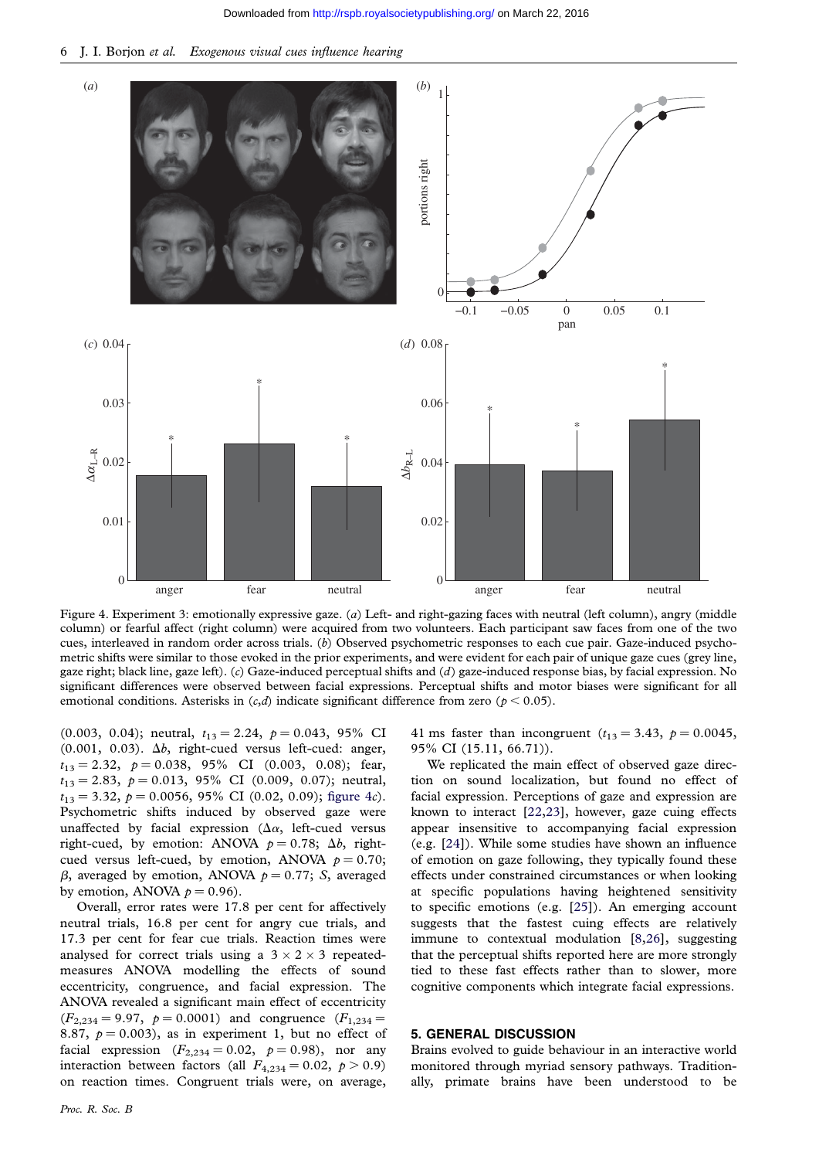<span id="page-5-0"></span>6 J. I. Borjon et al. Exogenous visual cues influence hearing



Figure 4. Experiment 3: emotionally expressive gaze. (a) Left- and right-gazing faces with neutral (left column), angry (middle column) or fearful affect (right column) were acquired from two volunteers. Each participant saw faces from one of the two cues, interleaved in random order across trials. (b) Observed psychometric responses to each cue pair. Gaze-induced psychometric shifts were similar to those evoked in the prior experiments, and were evident for each pair of unique gaze cues (grey line, gaze right; black line, gaze left). (c) Gaze-induced perceptual shifts and  $(d)$  gaze-induced response bias, by facial expression. No significant differences were observed between facial expressions. Perceptual shifts and motor biases were significant for all emotional conditions. Asterisks in  $(c,d)$  indicate significant difference from zero  $(p < 0.05)$ .

(0.003, 0.04); neutral,  $t_{13} = 2.24$ ,  $p = 0.043$ , 95% CI (0.001, 0.03).  $\Delta b$ , right-cued versus left-cued: anger,  $t_{13} = 2.32$ ,  $p = 0.038$ , 95% CI (0.003, 0.08); fear,  $t_{13} = 2.83, p = 0.013, 95\% \text{ CI}$  (0.009, 0.07); neutral,  $t_{13} = 3.32, p = 0.0056, 95\% \text{ CI } (0.02, 0.09); \text{ figure } 4c$ . Psychometric shifts induced by observed gaze were unaffected by facial expression ( $\Delta \alpha$ , left-cued versus right-cued, by emotion: ANOVA  $p = 0.78$ ;  $\Delta b$ , rightcued versus left-cued, by emotion, ANOVA  $p = 0.70$ ;  $\beta$ , averaged by emotion, ANOVA  $p = 0.77$ ; S, averaged by emotion, ANOVA  $p = 0.96$ ).

Overall, error rates were 17.8 per cent for affectively neutral trials, 16.8 per cent for angry cue trials, and 17.3 per cent for fear cue trials. Reaction times were analysed for correct trials using a  $3 \times 2 \times 3$  repeatedmeasures ANOVA modelling the effects of sound eccentricity, congruence, and facial expression. The ANOVA revealed a significant main effect of eccentricity  $(F_{2,234} = 9.97, p = 0.0001)$  and congruence  $(F_{1,234} =$ 8.87,  $p = 0.003$ , as in experiment 1, but no effect of facial expression  $(F_{2,234} = 0.02, p = 0.98)$ , nor any interaction between factors (all  $F_{4,234} = 0.02$ ,  $p > 0.9$ ) on reaction times. Congruent trials were, on average,

41 ms faster than incongruent  $(t_{13} = 3.43, p = 0.0045,$ 95% CI (15.11, 66.71)).

We replicated the main effect of observed gaze direction on sound localization, but found no effect of facial expression. Perceptions of gaze and expression are known to interact [[22](#page-7-0),[23](#page-7-0)], however, gaze cuing effects appear insensitive to accompanying facial expression (e.g. [\[24\]](#page-7-0)). While some studies have shown an influence of emotion on gaze following, they typically found these effects under constrained circumstances or when looking at specific populations having heightened sensitivity to specific emotions (e.g. [\[25\]](#page-7-0)). An emerging account suggests that the fastest cuing effects are relatively immune to contextual modulation [[8,26](#page-7-0)], suggesting that the perceptual shifts reported here are more strongly tied to these fast effects rather than to slower, more cognitive components which integrate facial expressions.

## 5. GENERAL DISCUSSION

Brains evolved to guide behaviour in an interactive world monitored through myriad sensory pathways. Traditionally, primate brains have been understood to be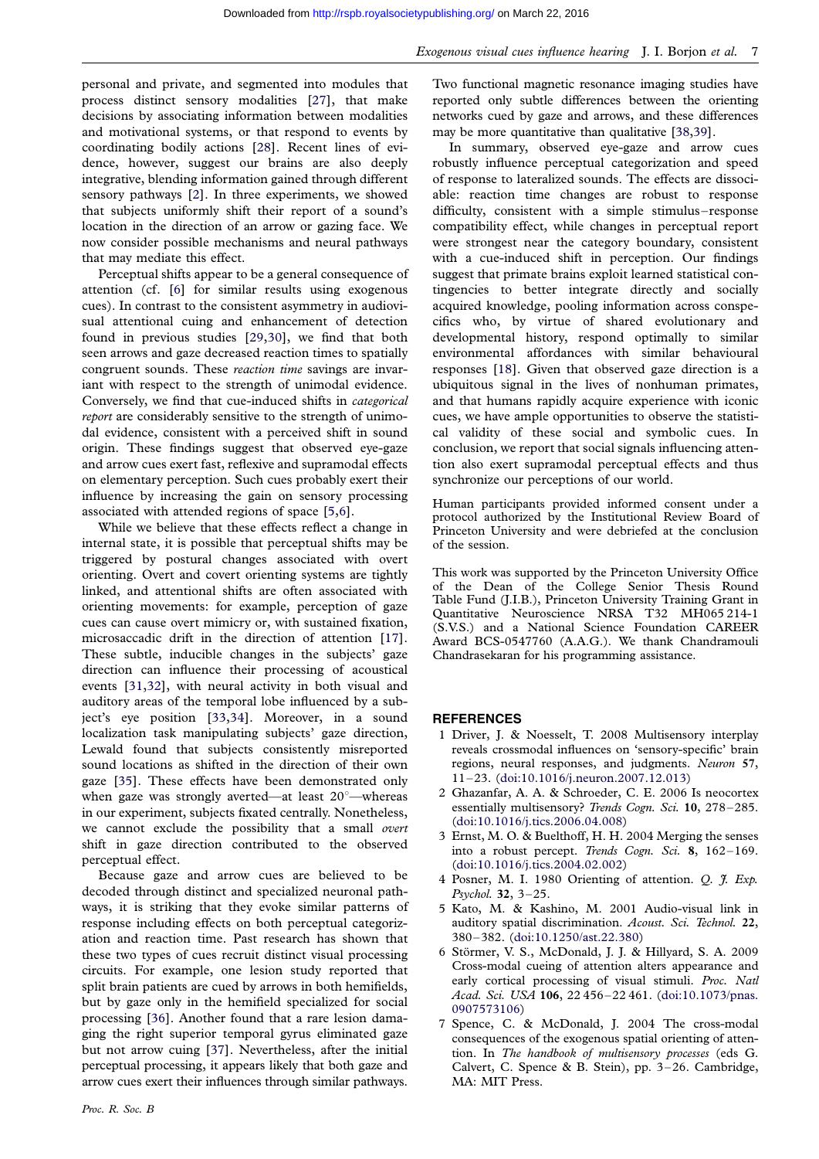<span id="page-6-0"></span>personal and private, and segmented into modules that process distinct sensory modalities [[27](#page-7-0)], that make decisions by associating information between modalities and motivational systems, or that respond to events by coordinating bodily actions [[28](#page-7-0)]. Recent lines of evidence, however, suggest our brains are also deeply integrative, blending information gained through different sensory pathways [2]. In three experiments, we showed that subjects uniformly shift their report of a sound's location in the direction of an arrow or gazing face. We now consider possible mechanisms and neural pathways that may mediate this effect.

Perceptual shifts appear to be a general consequence of attention (cf. [6] for similar results using exogenous cues). In contrast to the consistent asymmetry in audiovisual attentional cuing and enhancement of detection found in previous studies [\[29,30](#page-7-0)], we find that both seen arrows and gaze decreased reaction times to spatially congruent sounds. These reaction time savings are invariant with respect to the strength of unimodal evidence. Conversely, we find that cue-induced shifts in categorical report are considerably sensitive to the strength of unimodal evidence, consistent with a perceived shift in sound origin. These findings suggest that observed eye-gaze and arrow cues exert fast, reflexive and supramodal effects on elementary perception. Such cues probably exert their influence by increasing the gain on sensory processing associated with attended regions of space [5,6].

While we believe that these effects reflect a change in internal state, it is possible that perceptual shifts may be triggered by postural changes associated with overt orienting. Overt and covert orienting systems are tightly linked, and attentional shifts are often associated with orienting movements: for example, perception of gaze cues can cause overt mimicry or, with sustained fixation, microsaccadic drift in the direction of attention [[17](#page-7-0)]. These subtle, inducible changes in the subjects' gaze direction can influence their processing of acoustical events [[31](#page-7-0),[32](#page-7-0)], with neural activity in both visual and auditory areas of the temporal lobe influenced by a subject's eye position [[33,34\]](#page-7-0). Moreover, in a sound localization task manipulating subjects' gaze direction, Lewald found that subjects consistently misreported sound locations as shifted in the direction of their own gaze [[35](#page-7-0)]. These effects have been demonstrated only when gaze was strongly averted—at least  $20^{\circ}$ —whereas in our experiment, subjects fixated centrally. Nonetheless, we cannot exclude the possibility that a small overt shift in gaze direction contributed to the observed perceptual effect.

Because gaze and arrow cues are believed to be decoded through distinct and specialized neuronal pathways, it is striking that they evoke similar patterns of response including effects on both perceptual categorization and reaction time. Past research has shown that these two types of cues recruit distinct visual processing circuits. For example, one lesion study reported that split brain patients are cued by arrows in both hemifields, but by gaze only in the hemifield specialized for social processing [[36](#page-7-0)]. Another found that a rare lesion damaging the right superior temporal gyrus eliminated gaze but not arrow cuing [[37](#page-7-0)]. Nevertheless, after the initial perceptual processing, it appears likely that both gaze and arrow cues exert their influences through similar pathways.

Two functional magnetic resonance imaging studies have reported only subtle differences between the orienting networks cued by gaze and arrows, and these differences may be more quantitative than qualitative [\[38,39](#page-7-0)].

In summary, observed eye-gaze and arrow cues robustly influence perceptual categorization and speed of response to lateralized sounds. The effects are dissociable: reaction time changes are robust to response difficulty, consistent with a simple stimulus-response compatibility effect, while changes in perceptual report were strongest near the category boundary, consistent with a cue-induced shift in perception. Our findings suggest that primate brains exploit learned statistical contingencies to better integrate directly and socially acquired knowledge, pooling information across conspecifics who, by virtue of shared evolutionary and developmental history, respond optimally to similar environmental affordances with similar behavioural responses [[18](#page-7-0)]. Given that observed gaze direction is a ubiquitous signal in the lives of nonhuman primates, and that humans rapidly acquire experience with iconic cues, we have ample opportunities to observe the statistical validity of these social and symbolic cues. In conclusion, we report that social signals influencing attention also exert supramodal perceptual effects and thus synchronize our perceptions of our world.

Human participants provided informed consent under a protocol authorized by the Institutional Review Board of Princeton University and were debriefed at the conclusion of the session.

This work was supported by the Princeton University Office of the Dean of the College Senior Thesis Round Table Fund (J.I.B.), Princeton University Training Grant in Quantitative Neuroscience NRSA T32 MH065 214-1 (S.V.S.) and a National Science Foundation CAREER Award BCS-0547760 (A.A.G.). We thank Chandramouli Chandrasekaran for his programming assistance.

#### **REFERENCES**

- 1 Driver, J. & Noesselt, T. 2008 Multisensory interplay reveals crossmodal influences on 'sensory-specific' brain regions, neural responses, and judgments. Neuron 57, 11–23. ([doi:10.1016/j.neuron.2007.12.013](http://dx.doi.org/10.1016/j.neuron.2007.12.013))
- 2 Ghazanfar, A. A. & Schroeder, C. E. 2006 Is neocortex essentially multisensory? Trends Cogn. Sci. 10, 278-285. ([doi:10.1016/j.tics.2006.04.008\)](http://dx.doi.org/10.1016/j.tics.2006.04.008)
- 3 Ernst, M. O. & Buelthoff, H. H. 2004 Merging the senses into a robust percept. Trends Cogn. Sci. 8, 162-169. ([doi:10.1016/j.tics.2004.02.002\)](http://dx.doi.org/10.1016/j.tics.2004.02.002)
- 4 Posner, M. I. 1980 Orienting of attention. Q. J. Exp. Psychol. 32, 3-25.
- 5 Kato, M. & Kashino, M. 2001 Audio-visual link in auditory spatial discrimination. Acoust. Sci. Technol. 22, 380 –382. ([doi:10.1250/ast.22.380](http://dx.doi.org/doi:10.1250/ast.22.380))
- 6 Störmer, V. S., McDonald, J. J. & Hillyard, S. A. 2009 Cross-modal cueing of attention alters appearance and early cortical processing of visual stimuli. Proc. Natl Acad. Sci. USA 106, 22 456–22 461. ([doi:10.1073/pnas.](http://dx.doi.org/10.1073/pnas.0907573106) [0907573106](http://dx.doi.org/10.1073/pnas.0907573106))
- 7 Spence, C. & McDonald, J. 2004 The cross-modal consequences of the exogenous spatial orienting of attention. In The handbook of multisensory processes (eds G. Calvert, C. Spence & B. Stein), pp. 3 –26. Cambridge, MA: MIT Press.